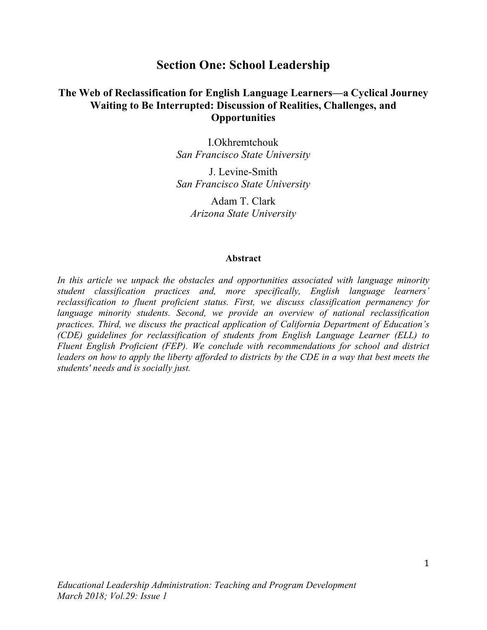# **Section One: School Leadership**

## **The Web of Reclassification for English Language Learners—a Cyclical Journey Waiting to Be Interrupted: Discussion of Realities, Challenges, and Opportunities**

I.Okhremtchouk *San Francisco State University*

J. Levine-Smith *San Francisco State University*

Adam T. Clark *Arizona State University*

#### **Abstract**

*In this article we unpack the obstacles and opportunities associated with language minority student classification practices and, more specifically, English language learners' reclassification to fluent proficient status. First, we discuss classification permanency for language minority students. Second, we provide an overview of national reclassification practices. Third, we discuss the practical application of California Department of Education's (CDE) guidelines for reclassification of students from English Language Learner (ELL) to Fluent English Proficient (FEP). We conclude with recommendations for school and district leaders on how to apply the liberty afforded to districts by the CDE in a way that best meets the students' needs and is socially just.*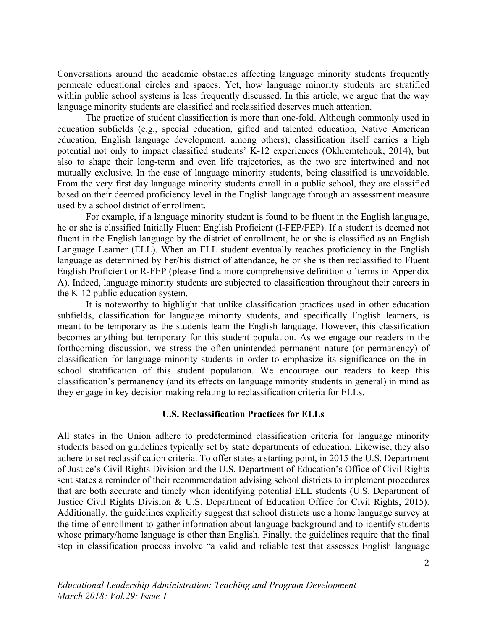Conversations around the academic obstacles affecting language minority students frequently permeate educational circles and spaces. Yet, how language minority students are stratified within public school systems is less frequently discussed. In this article, we argue that the way language minority students are classified and reclassified deserves much attention.

The practice of student classification is more than one-fold. Although commonly used in education subfields (e.g., special education, gifted and talented education, Native American education, English language development, among others), classification itself carries a high potential not only to impact classified students' K-12 experiences (Okhremtchouk, 2014), but also to shape their long-term and even life trajectories, as the two are intertwined and not mutually exclusive. In the case of language minority students, being classified is unavoidable. From the very first day language minority students enroll in a public school, they are classified based on their deemed proficiency level in the English language through an assessment measure used by a school district of enrollment.

For example, if a language minority student is found to be fluent in the English language, he or she is classified Initially Fluent English Proficient (I-FEP/FEP). If a student is deemed not fluent in the English language by the district of enrollment, he or she is classified as an English Language Learner (ELL). When an ELL student eventually reaches proficiency in the English language as determined by her/his district of attendance, he or she is then reclassified to Fluent English Proficient or R-FEP (please find a more comprehensive definition of terms in Appendix A). Indeed, language minority students are subjected to classification throughout their careers in the K-12 public education system.

It is noteworthy to highlight that unlike classification practices used in other education subfields, classification for language minority students, and specifically English learners, is meant to be temporary as the students learn the English language. However, this classification becomes anything but temporary for this student population. As we engage our readers in the forthcoming discussion, we stress the often-unintended permanent nature (or permanency) of classification for language minority students in order to emphasize its significance on the inschool stratification of this student population. We encourage our readers to keep this classification's permanency (and its effects on language minority students in general) in mind as they engage in key decision making relating to reclassification criteria for ELLs.

## **U.S. Reclassification Practices for ELLs**

All states in the Union adhere to predetermined classification criteria for language minority students based on guidelines typically set by state departments of education. Likewise, they also adhere to set reclassification criteria. To offer states a starting point, in 2015 the U.S. Department of Justice's Civil Rights Division and the U.S. Department of Education's Office of Civil Rights sent states a reminder of their recommendation advising school districts to implement procedures that are both accurate and timely when identifying potential ELL students (U.S. Department of Justice Civil Rights Division & U.S. Department of Education Office for Civil Rights, 2015). Additionally, the guidelines explicitly suggest that school districts use a home language survey at the time of enrollment to gather information about language background and to identify students whose primary/home language is other than English. Finally, the guidelines require that the final step in classification process involve "a valid and reliable test that assesses English language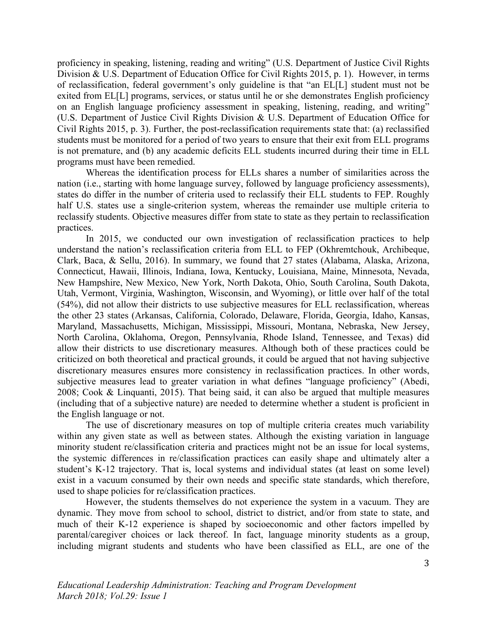proficiency in speaking, listening, reading and writing" (U.S. Department of Justice Civil Rights Division & U.S. Department of Education Office for Civil Rights 2015, p. 1). However, in terms of reclassification, federal government's only guideline is that "an EL[L] student must not be exited from EL[L] programs, services, or status until he or she demonstrates English proficiency on an English language proficiency assessment in speaking, listening, reading, and writing" (U.S. Department of Justice Civil Rights Division & U.S. Department of Education Office for Civil Rights 2015, p. 3). Further, the post-reclassification requirements state that: (a) reclassified students must be monitored for a period of two years to ensure that their exit from ELL programs is not premature, and (b) any academic deficits ELL students incurred during their time in ELL programs must have been remedied.

Whereas the identification process for ELLs shares a number of similarities across the nation (i.e., starting with home language survey, followed by language proficiency assessments), states do differ in the number of criteria used to reclassify their ELL students to FEP. Roughly half U.S. states use a single-criterion system, whereas the remainder use multiple criteria to reclassify students. Objective measures differ from state to state as they pertain to reclassification practices.

In 2015, we conducted our own investigation of reclassification practices to help understand the nation's reclassification criteria from ELL to FEP (Okhremtchouk, Archibeque, Clark, Baca, & Sellu, 2016). In summary, we found that 27 states (Alabama, Alaska, Arizona, Connecticut, Hawaii, Illinois, Indiana, Iowa, Kentucky, Louisiana, Maine, Minnesota, Nevada, New Hampshire, New Mexico, New York, North Dakota, Ohio, South Carolina, South Dakota, Utah, Vermont, Virginia, Washington, Wisconsin, and Wyoming), or little over half of the total (54%), did not allow their districts to use subjective measures for ELL reclassification, whereas the other 23 states (Arkansas, California, Colorado, Delaware, Florida, Georgia, Idaho, Kansas, Maryland, Massachusetts, Michigan, Mississippi, Missouri, Montana, Nebraska, New Jersey, North Carolina, Oklahoma, Oregon, Pennsylvania, Rhode Island, Tennessee, and Texas) did allow their districts to use discretionary measures. Although both of these practices could be criticized on both theoretical and practical grounds, it could be argued that not having subjective discretionary measures ensures more consistency in reclassification practices. In other words, subjective measures lead to greater variation in what defines "language proficiency" (Abedi, 2008; Cook & Linquanti, 2015). That being said, it can also be argued that multiple measures (including that of a subjective nature) are needed to determine whether a student is proficient in the English language or not.

The use of discretionary measures on top of multiple criteria creates much variability within any given state as well as between states. Although the existing variation in language minority student re/classification criteria and practices might not be an issue for local systems, the systemic differences in re/classification practices can easily shape and ultimately alter a student's K-12 trajectory. That is, local systems and individual states (at least on some level) exist in a vacuum consumed by their own needs and specific state standards, which therefore, used to shape policies for re/classification practices.

However, the students themselves do not experience the system in a vacuum. They are dynamic. They move from school to school, district to district, and/or from state to state, and much of their K-12 experience is shaped by socioeconomic and other factors impelled by parental/caregiver choices or lack thereof. In fact, language minority students as a group, including migrant students and students who have been classified as ELL, are one of the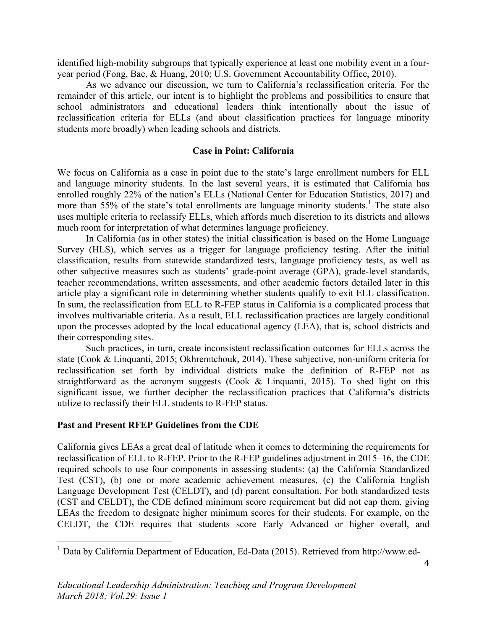identified high-mobility subgroups that typically experience at least one mobility event in a fouryear period (Fong, Bae, & Huang, 2010; U.S. Government Accountability Office, 2010).

As we advance our discussion, we turn to California's reclassification criteria. For the remainder of this article, our intent is to highlight the problems and possibilities to ensure that school administrators and educational leaders think intentionally about the issue of reclassification criteria for ELLs (and about classification practices for language minority students more broadly) when leading schools and districts.

## **Case in Point: California**

We focus on California as a case in point due to the state's large enrollment numbers for ELL and language minority students. In the last several years, it is estimated that California has enrolled roughly 22% of the nation's ELLs (National Center for Education Statistics, 2017) and more than  $55\%$  of the state's total enrollments are language minority students.<sup>1</sup> The state also uses multiple criteria to reclassify ELLs, which affords much discretion to its districts and allows much room for interpretation of what determines language proficiency.

In California (as in other states) the initial classification is based on the Home Language Survey (HLS), which serves as a trigger for language proficiency testing. After the initial classification, results from statewide standardized tests, language proficiency tests, as well as other subjective measures such as students' grade-point average (GPA), grade-level standards, teacher recommendations, written assessments, and other academic factors detailed later in this article play a significant role in determining whether students qualify to exit ELL classification. In sum, the reclassification from ELL to R-FEP status in California is a complicated process that involves multivariable criteria. As a result, ELL reclassification practices are largely conditional upon the processes adopted by the local educational agency (LEA), that is, school districts and their corresponding sites.

Such practices, in turn, create inconsistent reclassification outcomes for ELLs across the state (Cook & Linquanti, 2015; Okhremtchouk, 2014). These subjective, non-uniform criteria for reclassification set forth by individual districts make the definition of R-FEP not as straightforward as the acronym suggests (Cook & Linquanti, 2015). To shed light on this significant issue, we further decipher the reclassification practices that California's districts utilize to reclassify their ELL students to R-FEP status.

## **Past and Present RFEP Guidelines from the CDE**

California gives LEAs a great deal of latitude when it comes to determining the requirements for reclassification of ELL to R-FEP. Prior to the R-FEP guidelines adjustment in 2015–16, the CDE required schools to use four components in assessing students: (a) the California Standardized Test (CST), (b) one or more academic achievement measures, (c) the California English Language Development Test (CELDT), and (d) parent consultation. For both standardized tests (CST and CELDT), the CDE defined minimum score requirement but did not cap them, giving LEAs the freedom to designate higher minimum scores for their students. For example, on the CELDT, the CDE requires that students score Early Advanced or higher overall, and

 <sup>1</sup> Data by California Department of Education, Ed-Data (2015). Retrieved from http://www.ed-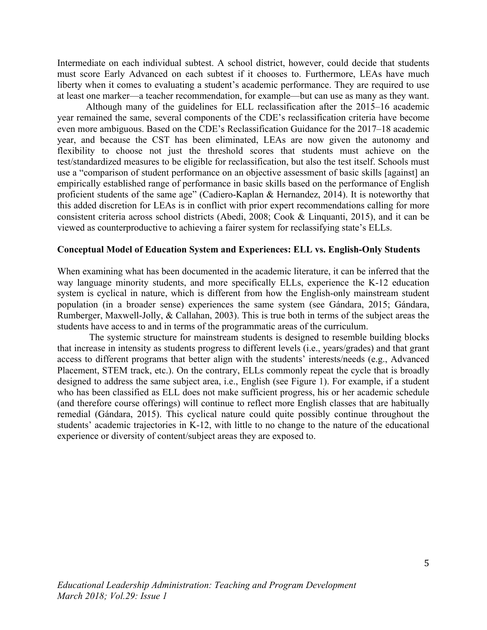Intermediate on each individual subtest. A school district, however, could decide that students must score Early Advanced on each subtest if it chooses to. Furthermore, LEAs have much liberty when it comes to evaluating a student's academic performance. They are required to use at least one marker—a teacher recommendation, for example—but can use as many as they want.

Although many of the guidelines for ELL reclassification after the 2015–16 academic year remained the same, several components of the CDE's reclassification criteria have become even more ambiguous. Based on the CDE's Reclassification Guidance for the 2017–18 academic year, and because the CST has been eliminated, LEAs are now given the autonomy and flexibility to choose not just the threshold scores that students must achieve on the test/standardized measures to be eligible for reclassification, but also the test itself. Schools must use a "comparison of student performance on an objective assessment of basic skills [against] an empirically established range of performance in basic skills based on the performance of English proficient students of the same age" (Cadiero-Kaplan & Hernandez, 2014). It is noteworthy that this added discretion for LEAs is in conflict with prior expert recommendations calling for more consistent criteria across school districts (Abedi, 2008; Cook & Linquanti, 2015), and it can be viewed as counterproductive to achieving a fairer system for reclassifying state's ELLs.

## **Conceptual Model of Education System and Experiences: ELL vs. English-Only Students**

When examining what has been documented in the academic literature, it can be inferred that the way language minority students, and more specifically ELLs, experience the K-12 education system is cyclical in nature, which is different from how the English-only mainstream student population (in a broader sense) experiences the same system (see Gándara, 2015; Gándara, Rumberger, Maxwell-Jolly, & Callahan, 2003). This is true both in terms of the subject areas the students have access to and in terms of the programmatic areas of the curriculum.

The systemic structure for mainstream students is designed to resemble building blocks that increase in intensity as students progress to different levels (i.e., years/grades) and that grant access to different programs that better align with the students' interests/needs (e.g., Advanced Placement, STEM track, etc.). On the contrary, ELLs commonly repeat the cycle that is broadly designed to address the same subject area, i.e., English (see Figure 1). For example, if a student who has been classified as ELL does not make sufficient progress, his or her academic schedule (and therefore course offerings) will continue to reflect more English classes that are habitually remedial (Gándara, 2015). This cyclical nature could quite possibly continue throughout the students' academic trajectories in K-12, with little to no change to the nature of the educational experience or diversity of content/subject areas they are exposed to.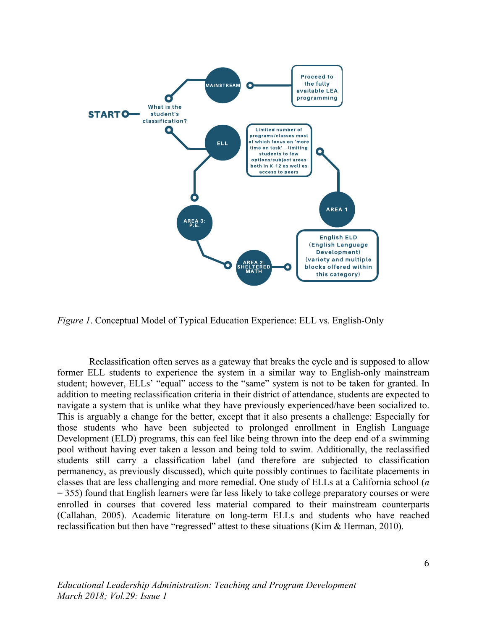

*Figure 1*. Conceptual Model of Typical Education Experience: ELL vs. English-Only

Reclassification often serves as a gateway that breaks the cycle and is supposed to allow former ELL students to experience the system in a similar way to English-only mainstream student; however, ELLs' "equal" access to the "same" system is not to be taken for granted. In addition to meeting reclassification criteria in their district of attendance, students are expected to navigate a system that is unlike what they have previously experienced/have been socialized to. This is arguably a change for the better, except that it also presents a challenge: Especially for those students who have been subjected to prolonged enrollment in English Language Development (ELD) programs, this can feel like being thrown into the deep end of a swimming pool without having ever taken a lesson and being told to swim. Additionally, the reclassified students still carry a classification label (and therefore are subjected to classification permanency, as previously discussed), which quite possibly continues to facilitate placements in classes that are less challenging and more remedial. One study of ELLs at a California school (*n* = 355) found that English learners were far less likely to take college preparatory courses or were enrolled in courses that covered less material compared to their mainstream counterparts (Callahan, 2005). Academic literature on long-term ELLs and students who have reached reclassification but then have "regressed" attest to these situations (Kim & Herman, 2010).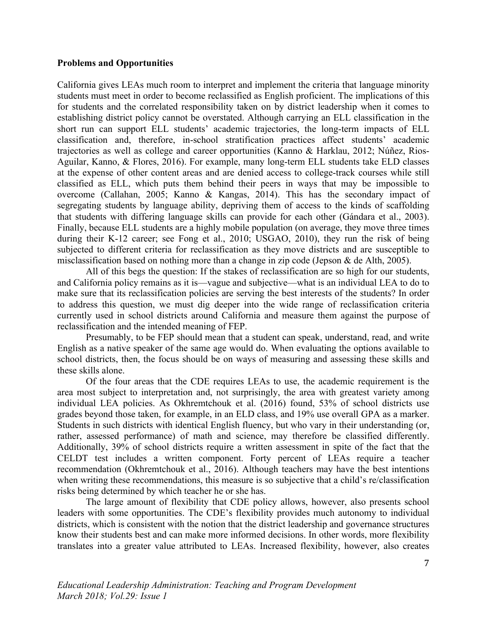#### **Problems and Opportunities**

California gives LEAs much room to interpret and implement the criteria that language minority students must meet in order to become reclassified as English proficient. The implications of this for students and the correlated responsibility taken on by district leadership when it comes to establishing district policy cannot be overstated. Although carrying an ELL classification in the short run can support ELL students' academic trajectories, the long-term impacts of ELL classification and, therefore, in-school stratification practices affect students' academic trajectories as well as college and career opportunities (Kanno & Harklau, 2012; Núñez, Rios-Aguilar, Kanno, & Flores, 2016). For example, many long-term ELL students take ELD classes at the expense of other content areas and are denied access to college-track courses while still classified as ELL, which puts them behind their peers in ways that may be impossible to overcome (Callahan, 2005; Kanno & Kangas, 2014). This has the secondary impact of segregating students by language ability, depriving them of access to the kinds of scaffolding that students with differing language skills can provide for each other (Gándara et al., 2003). Finally, because ELL students are a highly mobile population (on average, they move three times during their K-12 career; see Fong et al., 2010; USGAO, 2010), they run the risk of being subjected to different criteria for reclassification as they move districts and are susceptible to misclassification based on nothing more than a change in zip code (Jepson & de Alth, 2005).

All of this begs the question: If the stakes of reclassification are so high for our students, and California policy remains as it is—vague and subjective—what is an individual LEA to do to make sure that its reclassification policies are serving the best interests of the students? In order to address this question, we must dig deeper into the wide range of reclassification criteria currently used in school districts around California and measure them against the purpose of reclassification and the intended meaning of FEP.

Presumably, to be FEP should mean that a student can speak, understand, read, and write English as a native speaker of the same age would do. When evaluating the options available to school districts, then, the focus should be on ways of measuring and assessing these skills and these skills alone.

Of the four areas that the CDE requires LEAs to use, the academic requirement is the area most subject to interpretation and, not surprisingly, the area with greatest variety among individual LEA policies. As Okhremtchouk et al. (2016) found, 53% of school districts use grades beyond those taken, for example, in an ELD class, and 19% use overall GPA as a marker. Students in such districts with identical English fluency, but who vary in their understanding (or, rather, assessed performance) of math and science, may therefore be classified differently. Additionally, 39% of school districts require a written assessment in spite of the fact that the CELDT test includes a written component. Forty percent of LEAs require a teacher recommendation (Okhremtchouk et al., 2016). Although teachers may have the best intentions when writing these recommendations, this measure is so subjective that a child's re/classification risks being determined by which teacher he or she has.

The large amount of flexibility that CDE policy allows, however, also presents school leaders with some opportunities. The CDE's flexibility provides much autonomy to individual districts, which is consistent with the notion that the district leadership and governance structures know their students best and can make more informed decisions. In other words, more flexibility translates into a greater value attributed to LEAs. Increased flexibility, however, also creates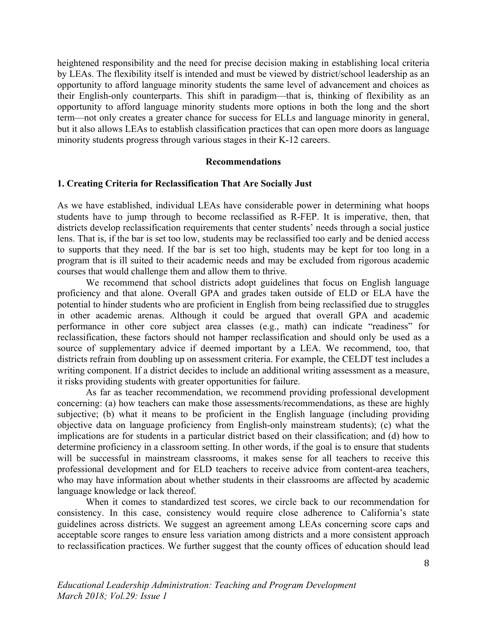heightened responsibility and the need for precise decision making in establishing local criteria by LEAs. The flexibility itself is intended and must be viewed by district/school leadership as an opportunity to afford language minority students the same level of advancement and choices as their English-only counterparts. This shift in paradigm—that is, thinking of flexibility as an opportunity to afford language minority students more options in both the long and the short term—not only creates a greater chance for success for ELLs and language minority in general, but it also allows LEAs to establish classification practices that can open more doors as language minority students progress through various stages in their K-12 careers.

#### **Recommendations**

#### **1. Creating Criteria for Reclassification That Are Socially Just**

As we have established, individual LEAs have considerable power in determining what hoops students have to jump through to become reclassified as R-FEP. It is imperative, then, that districts develop reclassification requirements that center students' needs through a social justice lens. That is, if the bar is set too low, students may be reclassified too early and be denied access to supports that they need. If the bar is set too high, students may be kept for too long in a program that is ill suited to their academic needs and may be excluded from rigorous academic courses that would challenge them and allow them to thrive.

We recommend that school districts adopt guidelines that focus on English language proficiency and that alone. Overall GPA and grades taken outside of ELD or ELA have the potential to hinder students who are proficient in English from being reclassified due to struggles in other academic arenas. Although it could be argued that overall GPA and academic performance in other core subject area classes (e.g., math) can indicate "readiness" for reclassification, these factors should not hamper reclassification and should only be used as a source of supplementary advice if deemed important by a LEA. We recommend, too, that districts refrain from doubling up on assessment criteria. For example, the CELDT test includes a writing component. If a district decides to include an additional writing assessment as a measure, it risks providing students with greater opportunities for failure.

As far as teacher recommendation, we recommend providing professional development concerning: (a) how teachers can make those assessments/recommendations, as these are highly subjective; (b) what it means to be proficient in the English language (including providing objective data on language proficiency from English-only mainstream students); (c) what the implications are for students in a particular district based on their classification; and (d) how to determine proficiency in a classroom setting. In other words, if the goal is to ensure that students will be successful in mainstream classrooms, it makes sense for all teachers to receive this professional development and for ELD teachers to receive advice from content-area teachers, who may have information about whether students in their classrooms are affected by academic language knowledge or lack thereof.

When it comes to standardized test scores, we circle back to our recommendation for consistency. In this case, consistency would require close adherence to California's state guidelines across districts. We suggest an agreement among LEAs concerning score caps and acceptable score ranges to ensure less variation among districts and a more consistent approach to reclassification practices. We further suggest that the county offices of education should lead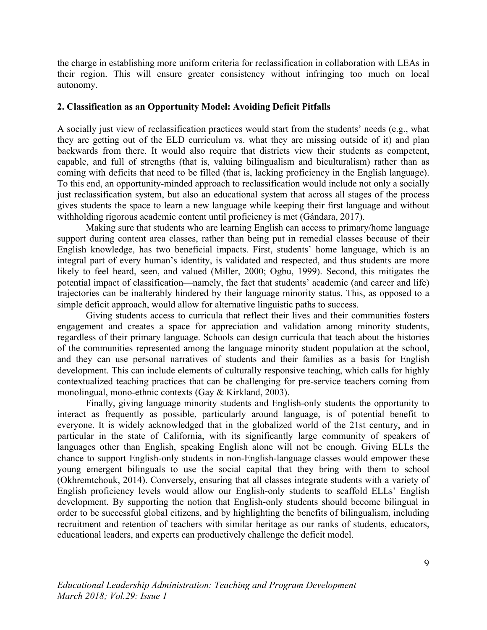the charge in establishing more uniform criteria for reclassification in collaboration with LEAs in their region. This will ensure greater consistency without infringing too much on local autonomy.

## **2. Classification as an Opportunity Model: Avoiding Deficit Pitfalls**

A socially just view of reclassification practices would start from the students' needs (e.g., what they are getting out of the ELD curriculum vs. what they are missing outside of it) and plan backwards from there. It would also require that districts view their students as competent, capable, and full of strengths (that is, valuing bilingualism and biculturalism) rather than as coming with deficits that need to be filled (that is, lacking proficiency in the English language). To this end, an opportunity-minded approach to reclassification would include not only a socially just reclassification system, but also an educational system that across all stages of the process gives students the space to learn a new language while keeping their first language and without withholding rigorous academic content until proficiency is met (Gándara, 2017).

Making sure that students who are learning English can access to primary/home language support during content area classes, rather than being put in remedial classes because of their English knowledge, has two beneficial impacts. First, students' home language, which is an integral part of every human's identity, is validated and respected, and thus students are more likely to feel heard, seen, and valued (Miller, 2000; Ogbu, 1999). Second, this mitigates the potential impact of classification—namely, the fact that students' academic (and career and life) trajectories can be inalterably hindered by their language minority status. This, as opposed to a simple deficit approach, would allow for alternative linguistic paths to success.

Giving students access to curricula that reflect their lives and their communities fosters engagement and creates a space for appreciation and validation among minority students, regardless of their primary language. Schools can design curricula that teach about the histories of the communities represented among the language minority student population at the school, and they can use personal narratives of students and their families as a basis for English development. This can include elements of culturally responsive teaching, which calls for highly contextualized teaching practices that can be challenging for pre-service teachers coming from monolingual, mono-ethnic contexts (Gay & Kirkland, 2003).

Finally, giving language minority students and English-only students the opportunity to interact as frequently as possible, particularly around language, is of potential benefit to everyone. It is widely acknowledged that in the globalized world of the 21st century, and in particular in the state of California, with its significantly large community of speakers of languages other than English, speaking English alone will not be enough. Giving ELLs the chance to support English-only students in non-English-language classes would empower these young emergent bilinguals to use the social capital that they bring with them to school (Okhremtchouk, 2014). Conversely, ensuring that all classes integrate students with a variety of English proficiency levels would allow our English-only students to scaffold ELLs' English development. By supporting the notion that English-only students should become bilingual in order to be successful global citizens, and by highlighting the benefits of bilingualism, including recruitment and retention of teachers with similar heritage as our ranks of students, educators, educational leaders, and experts can productively challenge the deficit model.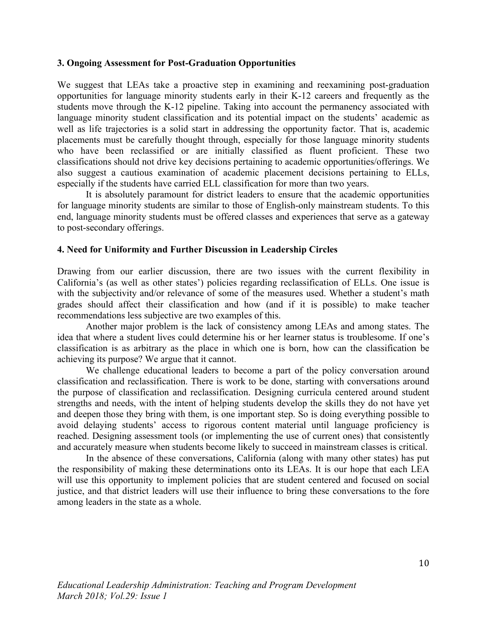## **3. Ongoing Assessment for Post-Graduation Opportunities**

We suggest that LEAs take a proactive step in examining and reexamining post-graduation opportunities for language minority students early in their K-12 careers and frequently as the students move through the K-12 pipeline. Taking into account the permanency associated with language minority student classification and its potential impact on the students' academic as well as life trajectories is a solid start in addressing the opportunity factor. That is, academic placements must be carefully thought through, especially for those language minority students who have been reclassified or are initially classified as fluent proficient. These two classifications should not drive key decisions pertaining to academic opportunities/offerings. We also suggest a cautious examination of academic placement decisions pertaining to ELLs, especially if the students have carried ELL classification for more than two years.

It is absolutely paramount for district leaders to ensure that the academic opportunities for language minority students are similar to those of English-only mainstream students. To this end, language minority students must be offered classes and experiences that serve as a gateway to post-secondary offerings.

## **4. Need for Uniformity and Further Discussion in Leadership Circles**

Drawing from our earlier discussion, there are two issues with the current flexibility in California's (as well as other states') policies regarding reclassification of ELLs. One issue is with the subjectivity and/or relevance of some of the measures used. Whether a student's math grades should affect their classification and how (and if it is possible) to make teacher recommendations less subjective are two examples of this.

Another major problem is the lack of consistency among LEAs and among states. The idea that where a student lives could determine his or her learner status is troublesome. If one's classification is as arbitrary as the place in which one is born, how can the classification be achieving its purpose? We argue that it cannot.

We challenge educational leaders to become a part of the policy conversation around classification and reclassification. There is work to be done, starting with conversations around the purpose of classification and reclassification. Designing curricula centered around student strengths and needs, with the intent of helping students develop the skills they do not have yet and deepen those they bring with them, is one important step. So is doing everything possible to avoid delaying students' access to rigorous content material until language proficiency is reached. Designing assessment tools (or implementing the use of current ones) that consistently and accurately measure when students become likely to succeed in mainstream classes is critical.

In the absence of these conversations, California (along with many other states) has put the responsibility of making these determinations onto its LEAs. It is our hope that each LEA will use this opportunity to implement policies that are student centered and focused on social justice, and that district leaders will use their influence to bring these conversations to the fore among leaders in the state as a whole.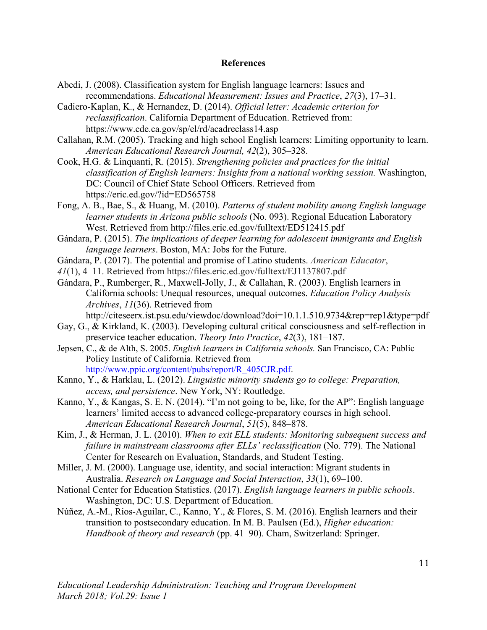#### **References**

- Abedi, J. (2008). Classification system for English language learners: Issues and recommendations. *Educational Measurement: Issues and Practice*, *27*(3), 17–31.
- Cadiero-Kaplan, K., & Hernandez, D. (2014). *Official letter: Academic criterion for reclassification*. California Department of Education. Retrieved from: https://www.cde.ca.gov/sp/el/rd/acadreclass14.asp
- Callahan, R.M. (2005). Tracking and high school English learners: Limiting opportunity to learn. *American Educational Research Journal, 42*(2), 305–328.
- Cook, H.G. & Linquanti, R. (2015). *Strengthening policies and practices for the initial classification of English learners: Insights from a national working session.* Washington, DC: Council of Chief State School Officers. Retrieved from https://eric.ed.gov/?id=ED565758
- Fong, A. B., Bae, S., & Huang, M. (2010). *Patterns of student mobility among English language learner students in Arizona public schools* (No. 093). Regional Education Laboratory West. Retrieved from http://files.eric.ed.gov/fulltext/ED512415.pdf
- Gándara, P. (2015). *The implications of deeper learning for adolescent immigrants and English language learners*. Boston, MA: Jobs for the Future.
- Gándara, P. (2017). The potential and promise of Latino students. *American Educator*,
- *41*(1), 4–11. Retrieved from https://files.eric.ed.gov/fulltext/EJ1137807.pdf
- Gándara, P., Rumberger, R., Maxwell-Jolly, J., & Callahan, R. (2003). English learners in California schools: Unequal resources, unequal outcomes. *Education Policy Analysis Archives*, *11*(36). Retrieved from

http://citeseerx.ist.psu.edu/viewdoc/download?doi=10.1.1.510.9734&rep=rep1&type=pdf

- Gay, G., & Kirkland, K. (2003). Developing cultural critical consciousness and self-reflection in preservice teacher education. *Theory Into Practice*, *42*(3), 181–187.
- Jepsen, C., & de Alth, S. 2005. *English learners in California schools.* San Francisco, CA: Public Policy Institute of California. Retrieved from http://www.ppic.org/content/pubs/report/R\_405CJR.pdf.
- Kanno, Y., & Harklau, L. (2012). *Linguistic minority students go to college: Preparation, access, and persistence*. New York, NY: Routledge.
- Kanno, Y., & Kangas, S. E. N. (2014). "I'm not going to be, like, for the AP": English language learners' limited access to advanced college-preparatory courses in high school. *American Educational Research Journal*, *51*(5), 848–878.
- Kim, J., & Herman, J. L. (2010). *When to exit ELL students: Monitoring subsequent success and failure in mainstream classrooms after ELLs' reclassification* (No. 779). The National Center for Research on Evaluation, Standards, and Student Testing.
- Miller, J. M. (2000). Language use, identity, and social interaction: Migrant students in Australia. *Research on Language and Social Interaction*, *33*(1), 69–100.
- National Center for Education Statistics. (2017). *English language learners in public schools*. Washington, DC: U.S. Department of Education.
- Núñez, A.-M., Rios-Aguilar, C., Kanno, Y., & Flores, S. M. (2016). English learners and their transition to postsecondary education. In M. B. Paulsen (Ed.), *Higher education: Handbook of theory and research* (pp. 41–90). Cham, Switzerland: Springer.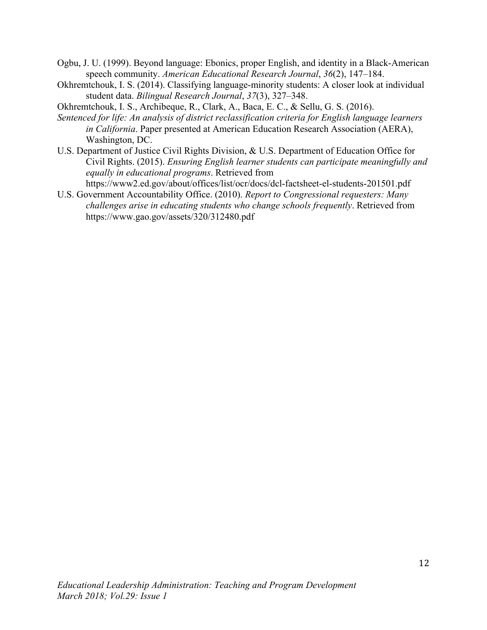- Ogbu, J. U. (1999). Beyond language: Ebonics, proper English, and identity in a Black-American speech community. *American Educational Research Journal*, *36*(2), 147–184.
- Okhremtchouk, I. S. (2014). Classifying language-minority students: A closer look at individual student data. *Bilingual Research Journal*, *37*(3), 327–348.
- Okhremtchouk, I. S., Archibeque, R., Clark, A., Baca, E. C., & Sellu, G. S. (2016).
- *Sentenced for life: An analysis of district reclassification criteria for English language learners in California*. Paper presented at American Education Research Association (AERA), Washington, DC.
- U.S. Department of Justice Civil Rights Division, & U.S. Department of Education Office for Civil Rights. (2015). *Ensuring English learner students can participate meaningfully and equally in educational programs*. Retrieved from
	- https://www2.ed.gov/about/offices/list/ocr/docs/dcl-factsheet-el-students-201501.pdf
- U.S. Government Accountability Office. (2010). *Report to Congressional requesters: Many challenges arise in educating students who change schools frequently*. Retrieved from https://www.gao.gov/assets/320/312480.pdf